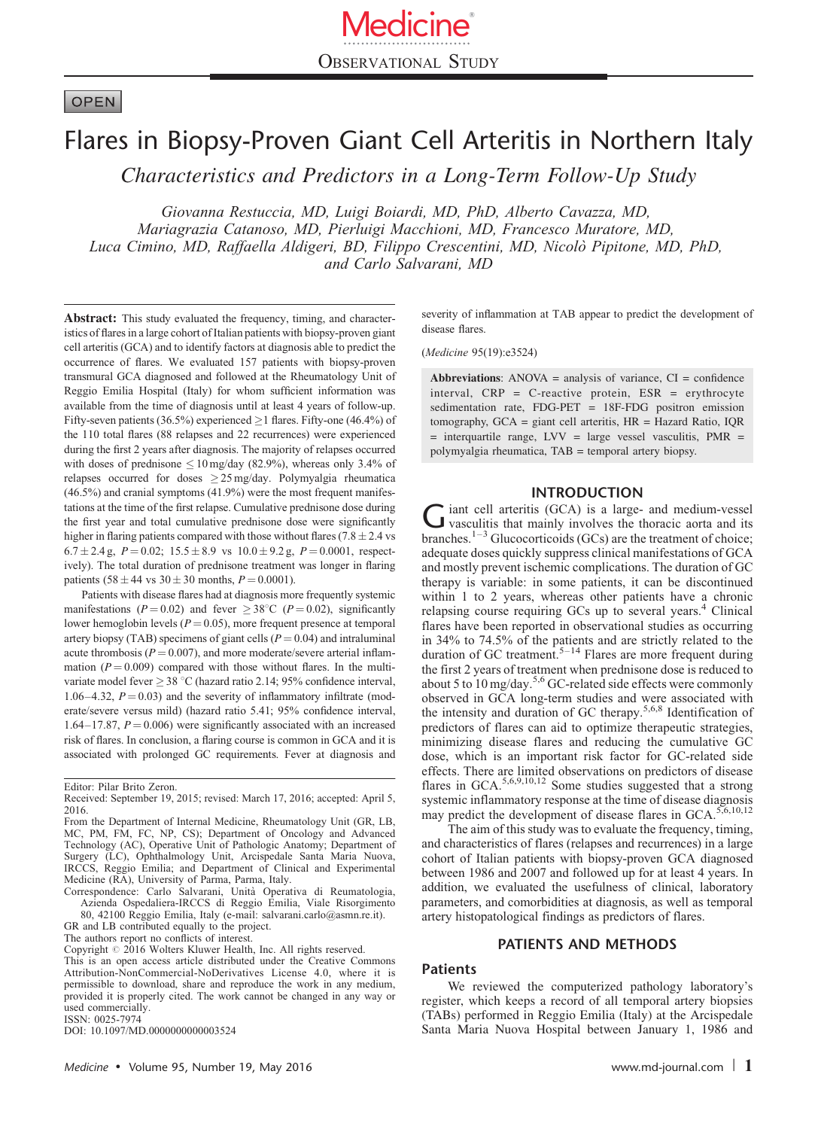# **OPEN**

# Flares in Biopsy-Proven Giant Cell Arteritis in Northern Italy

Characteristics and Predictors in a Long-Term Follow-Up Study

Giovanna Restuccia, MD, Luigi Boiardi, MD, PhD, Alberto Cavazza, MD, Mariagrazia Catanoso, MD, Pierluigi Macchioni, MD, Francesco Muratore, MD, Luca Cimino, MD, Raffaella Aldigeri, BD, Filippo Crescentini, MD, Nicolo` Pipitone, MD, PhD, and Carlo Salvarani, MD

Abstract: This study evaluated the frequency, timing, and characteristics of flares in a large cohort of Italian patients with biopsy-proven giant cell arteritis (GCA) and to identify factors at diagnosis able to predict the occurrence of flares. We evaluated 157 patients with biopsy-proven transmural GCA diagnosed and followed at the Rheumatology Unit of Reggio Emilia Hospital (Italy) for whom sufficient information was available from the time of diagnosis until at least 4 years of follow-up. Fifty-seven patients (36.5%) experienced  $\geq$  1 flares. Fifty-one (46.4%) of the 110 total flares (88 relapses and 22 recurrences) were experienced during the first 2 years after diagnosis. The majority of relapses occurred with doses of prednisone  $\leq 10$  mg/day (82.9%), whereas only 3.4% of relapses occurred for doses  $\geq$  25 mg/day. Polymyalgia rheumatica (46.5%) and cranial symptoms (41.9%) were the most frequent manifestations at the time of the first relapse. Cumulative prednisone dose during the first year and total cumulative prednisone dose were significantly higher in flaring patients compared with those without flares ( $7.8 \pm 2.4$  vs  $6.7 \pm 2.4$  g,  $P = 0.02$ ;  $15.5 \pm 8.9$  vs  $10.0 \pm 9.2$  g,  $P = 0.0001$ , respectively). The total duration of prednisone treatment was longer in flaring patients  $(58 \pm 44 \text{ vs } 30 \pm 30 \text{ months}, P = 0.0001)$ .

Patients with disease flares had at diagnosis more frequently systemic manifestations ( $P = 0.02$ ) and fever  $\geq 38^{\circ}$ C ( $P = 0.02$ ), significantly lower hemoglobin levels ( $P = 0.05$ ), more frequent presence at temporal artery biopsy (TAB) specimens of giant cells ( $P = 0.04$ ) and intraluminal acute thrombosis ( $P = 0.007$ ), and more moderate/severe arterial inflammation ( $P = 0.009$ ) compared with those without flares. In the multivariate model fever  $\geq$  38 °C (hazard ratio 2.14; 95% confidence interval, 1.06–4.32,  $P = 0.03$ ) and the severity of inflammatory infiltrate (moderate/severe versus mild) (hazard ratio 5.41; 95% confidence interval, 1.64–17.87,  $P = 0.006$ ) were significantly associated with an increased risk of flares. In conclusion, a flaring course is common in GCA and it is associated with prolonged GC requirements. Fever at diagnosis and

GR and LB contributed equally to the project.

DOI: [10.1097/MD.0000000000003524](http://dx.doi.org/10.1097/MD.0000000000003524)

severity of inflammation at TAB appear to predict the development of disease flares.

(Medicine 95(19):e3524)

Abbreviations:  $ANOVA =$  analysis of variance,  $CI =$  confidence interval, CRP = C-reactive protein, ESR = erythrocyte sedimentation rate, FDG-PET = 18F-FDG positron emission tomography, GCA = giant cell arteritis, HR = Hazard Ratio, IQR  $=$  interquartile range, LVV  $=$  large vessel vasculitis, PMR  $=$ polymyalgia rheumatica, TAB = temporal artery biopsy.

## INTRODUCTION

Giant cell arteritis (GCA) is a large- and medium-vessel<br>vasculitis that mainly involves the thoracic aorta and its<br> $\frac{1}{2}$ branches. $1-3$  Glucocorticoids (GCs) are the treatment of choice; adequate doses quickly suppress clinical manifestations of GCA and mostly prevent ischemic complications. The duration of GC therapy is variable: in some patients, it can be discontinued within 1 to 2 years, whereas other patients have a chronic relapsing course requiring GCs up to several years.<sup>[4](#page-8-0)</sup> Clinical flares have been reported in observational studies as occurring in 34% to 74.5% of the patients and are strictly related to the duration of GC treatment.<sup>[5–14](#page-8-0)</sup> Flares are more frequent during the first 2 years of treatment when prednisone dose is reduced to about 5 to 10 mg/day.[5,6](#page-8-0) GC-related side effects were commonly observed in GCA long-term studies and were associated with the intensity and duration of GC therapy.<sup>[5,6,8](#page-8-0)</sup> Identification of predictors of flares can aid to optimize therapeutic strategies, minimizing disease flares and reducing the cumulative GC dose, which is an important risk factor for GC-related side effects. There are limited observations on predictors of disease flares in GCA.<sup>[5,6,9,10,12](#page-8-0)</sup> Some studies suggested that a strong systemic inflammatory response at the time of disease diagnosis may predict the development of disease flares in GCA.<sup>[5,6,10,12](#page-8-0)</sup>

The aim of this study was to evaluate the frequency, timing, and characteristics of flares (relapses and recurrences) in a large cohort of Italian patients with biopsy-proven GCA diagnosed between 1986 and 2007 and followed up for at least 4 years. In addition, we evaluated the usefulness of clinical, laboratory parameters, and comorbidities at diagnosis, as well as temporal artery histopatological findings as predictors of flares.

# PATIENTS AND METHODS

#### Patients

We reviewed the computerized pathology laboratory's register, which keeps a record of all temporal artery biopsies (TABs) performed in Reggio Emilia (Italy) at the Arcispedale Santa Maria Nuova Hospital between January 1, 1986 and

Editor: Pilar Brito Zeron.

Received: September 19, 2015; revised: March 17, 2016; accepted: April 5, 2016.

From the Department of Internal Medicine, Rheumatology Unit (GR, LB, MC, PM, FM, FC, NP, CS); Department of Oncology and Advanced Technology (AC), Operative Unit of Pathologic Anatomy; Department of Surgery (LC), Ophthalmology Unit, Arcispedale Santa Maria Nuova, IRCCS, Reggio Emilia; and Department of Clinical and Experimental Medicine (RA), University of Parma, Parma, Italy.

Correspondence: Carlo Salvarani, Unita` Operativa di Reumatologia, Azienda Ospedaliera-IRCCS di Reggio Emilia, Viale Risorgimento 80, 42100 Reggio Emilia, Italy (e-mail: salvarani.carlo@asmn.re.it).

The authors report no conflicts of interest.

Copyright © 2016 Wolters Kluwer Health, Inc. All rights reserved. This is an open access article distributed under the Creative Commons Attribution-NonCommercial-NoDerivatives License 4.0, where it is

permissible to download, share and reproduce the work in any medium, provided it is properly cited. The work cannot be changed in any way or used commercially. ISSN: 0025-7974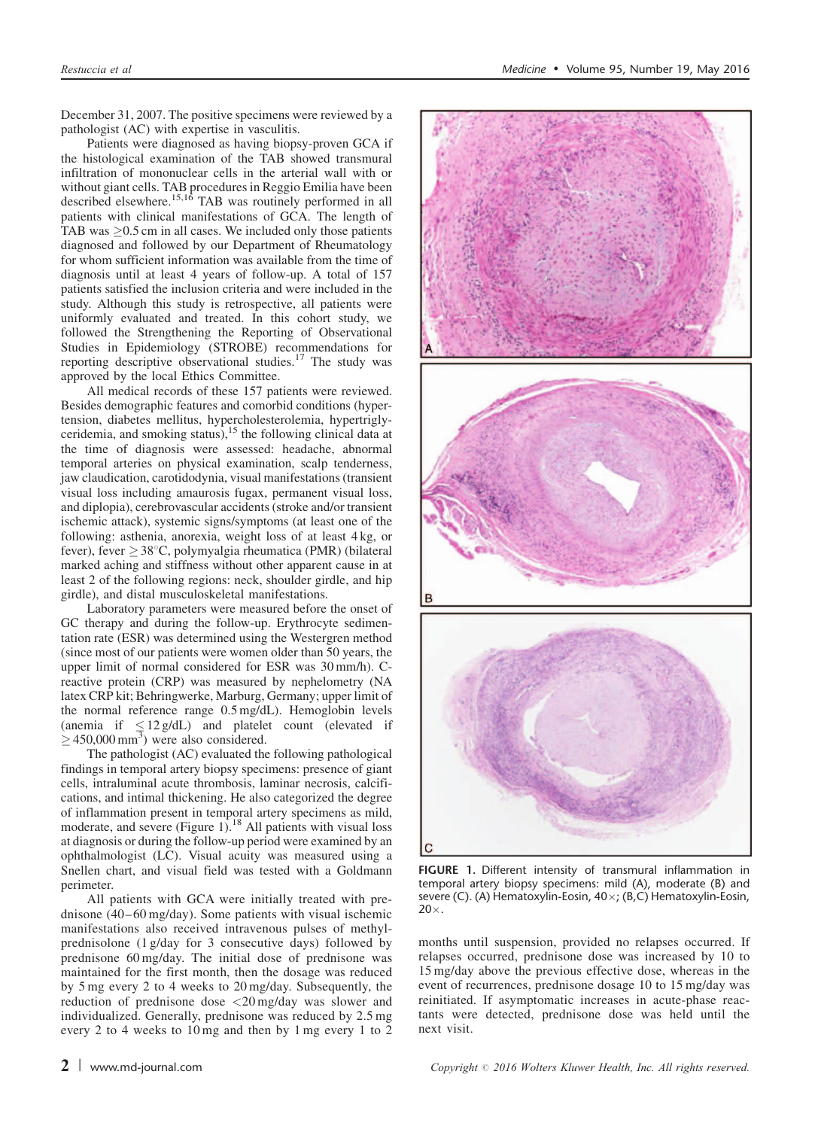December 31, 2007. The positive specimens were reviewed by a pathologist (AC) with expertise in vasculitis.

Patients were diagnosed as having biopsy-proven GCA if the histological examination of the TAB showed transmural infiltration of mononuclear cells in the arterial wall with or without giant cells. TAB procedures in Reggio Emilia have been<br>described elsewhere.<sup>15,16</sup> TAB was routinely performed in all patients with clinical manifestations of GCA. The length of TAB was  $\geq$ 0.5 cm in all cases. We included only those patients diagnosed and followed by our Department of Rheumatology for whom sufficient information was available from the time of diagnosis until at least 4 years of follow-up. A total of 157 patients satisfied the inclusion criteria and were included in the study. Although this study is retrospective, all patients were uniformly evaluated and treated. In this cohort study, we followed the Strengthening the Reporting of Observational Studies in Epidemiology (STROBE) recommendations for reporting descriptive observational studies.<sup>[17](#page-9-0)</sup> The study was approved by the local Ethics Committee.

All medical records of these 157 patients were reviewed. Besides demographic features and comorbid conditions (hypertension, diabetes mellitus, hypercholesterolemia, hypertrigly-ceridemia, and smoking status),<sup>[15](#page-9-0)</sup> the following clinical data at the time of diagnosis were assessed: headache, abnormal temporal arteries on physical examination, scalp tenderness, jaw claudication, carotidodynia, visual manifestations (transient visual loss including amaurosis fugax, permanent visual loss, and diplopia), cerebrovascular accidents (stroke and/or transient ischemic attack), systemic signs/symptoms (at least one of the following: asthenia, anorexia, weight loss of at least 4 kg, or fever), fever  $\geq 38^{\circ}$ C, polymyalgia rheumatica (PMR) (bilateral marked aching and stiffness without other apparent cause in at least 2 of the following regions: neck, shoulder girdle, and hip girdle), and distal musculoskeletal manifestations.

Laboratory parameters were measured before the onset of GC therapy and during the follow-up. Erythrocyte sedimentation rate (ESR) was determined using the Westergren method (since most of our patients were women older than 50 years, the upper limit of normal considered for ESR was 30 mm/h). Creactive protein (CRP) was measured by nephelometry (NA latex CRP kit; Behringwerke, Marburg, Germany; upper limit of the normal reference range 0.5 mg/dL). Hemoglobin levels (anemia if  $\leq 12$  g/dL) and platelet count (elevated if  $\geq$  450,000 mm<sup>3</sup>) were also considered.

The pathologist (AC) evaluated the following pathological findings in temporal artery biopsy specimens: presence of giant cells, intraluminal acute thrombosis, laminar necrosis, calcifications, and intimal thickening. He also categorized the degree of inflammation present in temporal artery specimens as mild, moderate, and severe (Figure 1).<sup>[18](#page-9-0)</sup> All patients with visual loss at diagnosis or during the follow-up period were examined by an ophthalmologist (LC). Visual acuity was measured using a Snellen chart, and visual field was tested with a Goldmann perimeter.

All patients with GCA were initially treated with prednisone (40–60 mg/day). Some patients with visual ischemic manifestations also received intravenous pulses of methylprednisolone (1 g/day for 3 consecutive days) followed by prednisone 60 mg/day. The initial dose of prednisone was maintained for the first month, then the dosage was reduced by 5 mg every 2 to 4 weeks to 20 mg/day. Subsequently, the reduction of prednisone dose <20 mg/day was slower and individualized. Generally, prednisone was reduced by 2.5 mg every 2 to 4 weeks to 10 mg and then by 1 mg every 1 to 2



temporal artery biopsy specimens: mild (A), moderate (B) and severe (C). (A) Hematoxylin-Eosin, 40 x; (B,C) Hematoxylin-Eosin,  $20\times$ .

months until suspension, provided no relapses occurred. If relapses occurred, prednisone dose was increased by 10 to 15 mg/day above the previous effective dose, whereas in the event of recurrences, prednisone dosage 10 to 15 mg/day was reinitiated. If asymptomatic increases in acute-phase reactants were detected, prednisone dose was held until the next visit.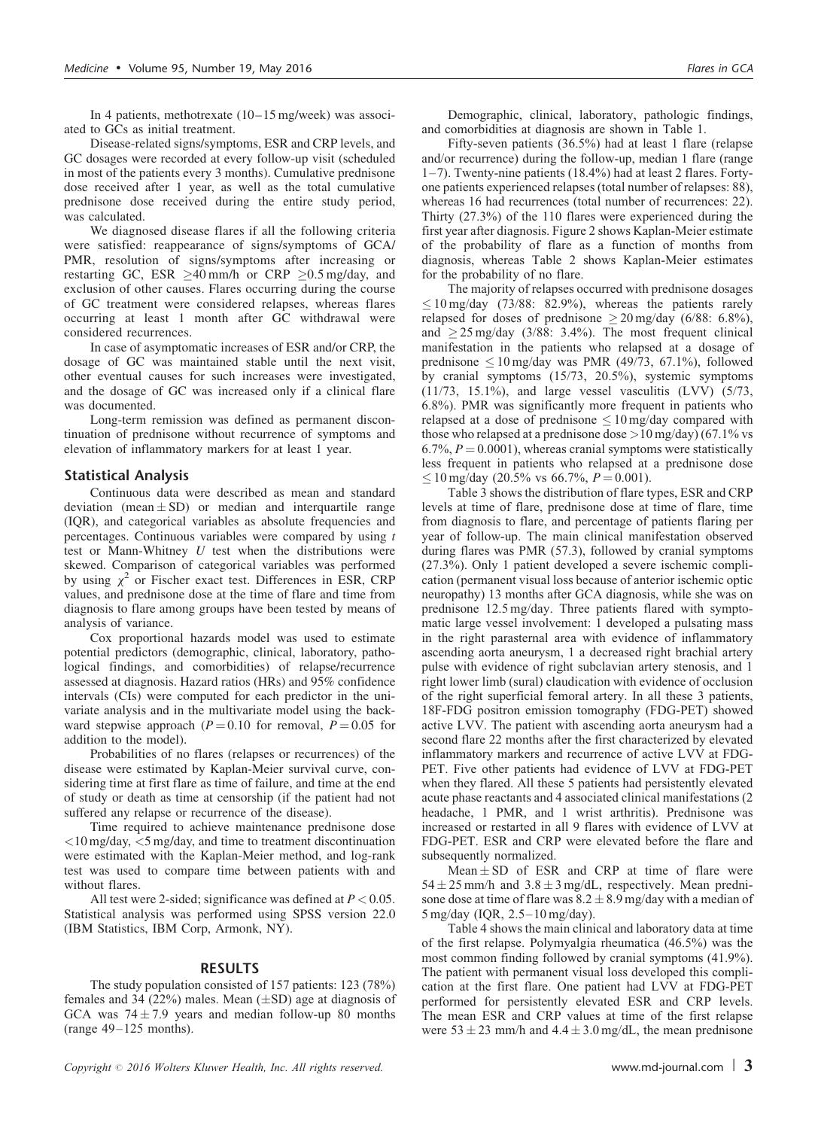In 4 patients, methotrexate (10–15 mg/week) was associated to GCs as initial treatment.

Disease-related signs/symptoms, ESR and CRP levels, and GC dosages were recorded at every follow-up visit (scheduled in most of the patients every 3 months). Cumulative prednisone dose received after 1 year, as well as the total cumulative prednisone dose received during the entire study period, was calculated.

We diagnosed disease flares if all the following criteria were satisfied: reappearance of signs/symptoms of GCA/ PMR, resolution of signs/symptoms after increasing or restarting GC,  $ESR \geq 40$  mm/h or CRP  $\geq 0.5$  mg/day, and exclusion of other causes. Flares occurring during the course of GC treatment were considered relapses, whereas flares occurring at least 1 month after GC withdrawal were considered recurrences.

In case of asymptomatic increases of ESR and/or CRP, the dosage of GC was maintained stable until the next visit, other eventual causes for such increases were investigated, and the dosage of GC was increased only if a clinical flare was documented.

Long-term remission was defined as permanent discontinuation of prednisone without recurrence of symptoms and elevation of inflammatory markers for at least 1 year.

#### Statistical Analysis

Continuous data were described as mean and standard deviation (mean  $\pm$  SD) or median and interquartile range (IQR), and categorical variables as absolute frequencies and percentages. Continuous variables were compared by using t test or Mann-Whitney  $U$  test when the distributions were skewed. Comparison of categorical variables was performed by using  $\chi^2$  or Fischer exact test. Differences in ESR, CRP values, and prednisone dose at the time of flare and time from diagnosis to flare among groups have been tested by means of analysis of variance.

Cox proportional hazards model was used to estimate potential predictors (demographic, clinical, laboratory, pathological findings, and comorbidities) of relapse/recurrence assessed at diagnosis. Hazard ratios (HRs) and 95% confidence intervals (CIs) were computed for each predictor in the univariate analysis and in the multivariate model using the backward stepwise approach ( $P = 0.10$  for removal,  $P = 0.05$  for addition to the model).

Probabilities of no flares (relapses or recurrences) of the disease were estimated by Kaplan-Meier survival curve, considering time at first flare as time of failure, and time at the end of study or death as time at censorship (if the patient had not suffered any relapse or recurrence of the disease).

Time required to achieve maintenance prednisone dose <10 mg/day, <5 mg/day, and time to treatment discontinuation were estimated with the Kaplan-Meier method, and log-rank test was used to compare time between patients with and without flares.

All test were 2-sided; significance was defined at  $P < 0.05$ . Statistical analysis was performed using SPSS version 22.0 (IBM Statistics, IBM Corp, Armonk, NY).

#### RESULTS

The study population consisted of 157 patients: 123 (78%) females and 34 (22%) males. Mean  $(\pm SD)$  age at diagnosis of GCA was  $74 \pm 7.9$  years and median follow-up 80 months (range  $49-125$  months).

Demographic, clinical, laboratory, pathologic findings, and comorbidities at diagnosis are shown in [Table 1](#page-3-0).

Fifty-seven patients (36.5%) had at least 1 flare (relapse and/or recurrence) during the follow-up, median 1 flare (range 1–7). Twenty-nine patients (18.4%) had at least 2 flares. Fortyone patients experienced relapses (total number of relapses: 88), whereas 16 had recurrences (total number of recurrences: 22). Thirty (27.3%) of the 110 flares were experienced during the first year after diagnosis. [Figure 2](#page-4-0) shows Kaplan-Meier estimate of the probability of flare as a function of months from diagnosis, whereas [Table 2](#page-4-0) shows Kaplan-Meier estimates for the probability of no flare.

The majority of relapses occurred with prednisone dosages  $10 \text{ mg/day}$  (73/88: 82.9%), whereas the patients rarely relapsed for doses of prednisone  $\geq 20$  mg/day (6/88: 6.8%), and  $\geq$  25 mg/day (3/88: 3.4%). The most frequent clinical manifestation in the patients who relapsed at a dosage of prednisone  $\leq 10$  mg/day was PMR (49/73, 67.1%), followed by cranial symptoms (15/73, 20.5%), systemic symptoms (11/73, 15.1%), and large vessel vasculitis (LVV) (5/73, 6.8%). PMR was significantly more frequent in patients who relapsed at a dose of prednisone  $\leq 10$  mg/day compared with those who relapsed at a prednisone dose  $>10$  mg/day) (67.1% vs 6.7%,  $P = 0.0001$ ), whereas cranial symptoms were statistically less frequent in patients who relapsed at a prednisone dose  $10 \text{ mg/day}$  (20.5% vs 66.7%,  $P = 0.001$ ).

[Table 3](#page-4-0) shows the distribution of flare types, ESR and CRP levels at time of flare, prednisone dose at time of flare, time from diagnosis to flare, and percentage of patients flaring per year of follow-up. The main clinical manifestation observed during flares was PMR (57.3), followed by cranial symptoms (27.3%). Only 1 patient developed a severe ischemic complication (permanent visual loss because of anterior ischemic optic neuropathy) 13 months after GCA diagnosis, while she was on prednisone 12.5 mg/day. Three patients flared with symptomatic large vessel involvement: 1 developed a pulsating mass in the right parasternal area with evidence of inflammatory ascending aorta aneurysm, 1 a decreased right brachial artery pulse with evidence of right subclavian artery stenosis, and 1 right lower limb (sural) claudication with evidence of occlusion of the right superficial femoral artery. In all these 3 patients, 18F-FDG positron emission tomography (FDG-PET) showed active LVV. The patient with ascending aorta aneurysm had a second flare 22 months after the first characterized by elevated inflammatory markers and recurrence of active LVV at FDG-PET. Five other patients had evidence of LVV at FDG-PET when they flared. All these 5 patients had persistently elevated acute phase reactants and 4 associated clinical manifestations (2 headache, 1 PMR, and 1 wrist arthritis). Prednisone was increased or restarted in all 9 flares with evidence of LVV at FDG-PET. ESR and CRP were elevated before the flare and subsequently normalized.

Mean  $\pm$  SD of ESR and CRP at time of flare were  $54 \pm 25$  mm/h and  $3.8 \pm 3$  mg/dL, respectively. Mean prednisone dose at time of flare was  $8.2 \pm 8.9$  mg/day with a median of 5 mg/day (IQR, 2.5–10 mg/day).

[Table 4](#page-5-0) shows the main clinical and laboratory data at time of the first relapse. Polymyalgia rheumatica (46.5%) was the most common finding followed by cranial symptoms (41.9%). The patient with permanent visual loss developed this complication at the first flare. One patient had LVV at FDG-PET performed for persistently elevated ESR and CRP levels. The mean ESR and CRP values at time of the first relapse were  $53 \pm 23$  mm/h and  $4.4 \pm 3.0$  mg/dL, the mean prednisone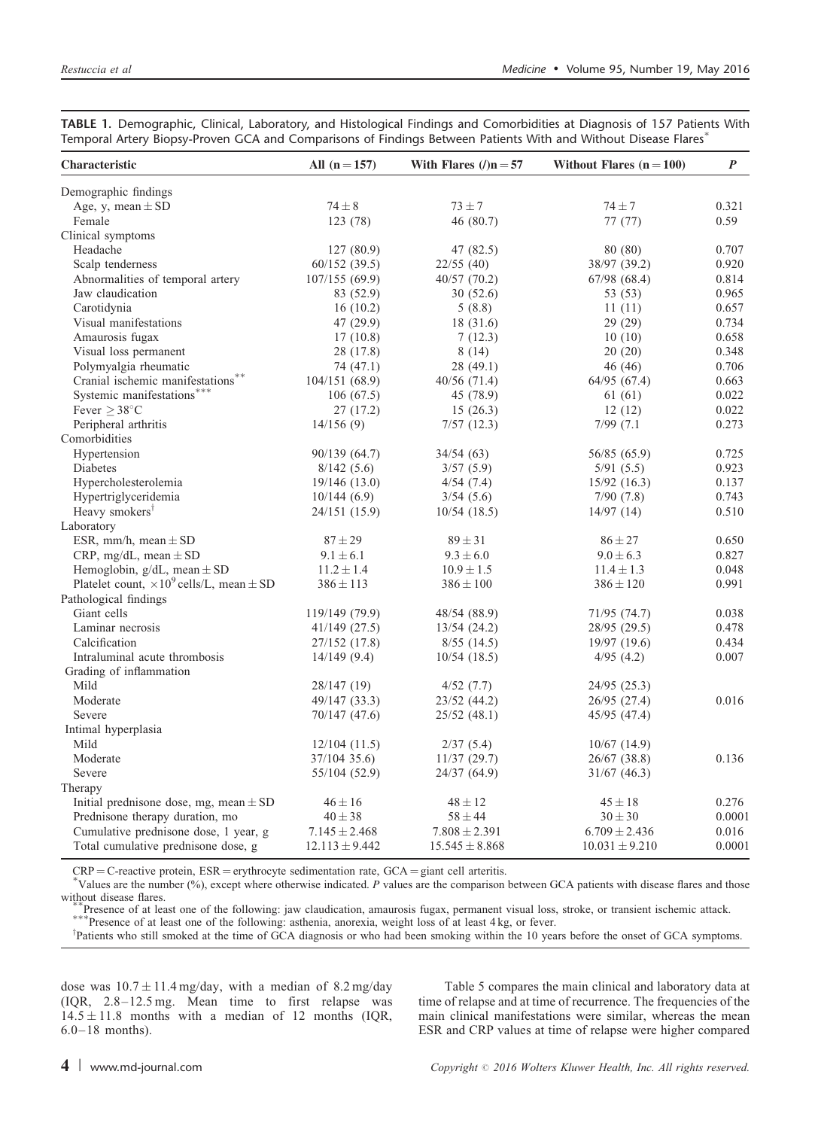| <b>Characteristic</b>                                | All $(n = 157)$    | With Flares $(1)$ n = 57 | Without Flares $(n = 100)$ | $\boldsymbol{P}$ |
|------------------------------------------------------|--------------------|--------------------------|----------------------------|------------------|
| Demographic findings                                 |                    |                          |                            |                  |
| Age, y, mean $\pm$ SD                                | $74 \pm 8$         | $73 + 7$                 | $74 + 7$                   | 0.321            |
| Female                                               | 123 (78)           | 46 (80.7)                | 77 (77)                    | 0.59             |
| Clinical symptoms                                    |                    |                          |                            |                  |
| Headache                                             | 127(80.9)          | 47 (82.5)                | 80 (80)                    | 0.707            |
| Scalp tenderness                                     | 60/152(39.5)       | 22/55(40)                | 38/97 (39.2)               | 0.920            |
| Abnormalities of temporal artery                     | 107/155(69.9)      | 40/57(70.2)              | 67/98 (68.4)               | 0.814            |
| Jaw claudication                                     | 83 (52.9)          | 30(52.6)                 | 53 (53)                    | 0.965            |
| Carotidynia                                          | 16(10.2)           | 5(8.8)                   | 11(11)                     | 0.657            |
| Visual manifestations                                | 47 (29.9)          | 18 (31.6)                | 29 (29)                    | 0.734            |
| Amaurosis fugax                                      | 17(10.8)           | 7(12.3)                  | 10(10)                     | 0.658            |
| Visual loss permanent                                | 28 (17.8)          | 8(14)                    | 20(20)                     | 0.348            |
| Polymyalgia rheumatic                                | 74 (47.1)          | 28(49.1)                 | 46 (46)                    | 0.706            |
| Cranial ischemic manifestations**                    | 104/151 (68.9)     | 40/56(71.4)              | 64/95 (67.4)               | 0.663            |
| Systemic manifestations***                           | 106(67.5)          | 45 (78.9)                | 61 (61)                    | 0.022            |
| Fever $\geq$ 38°C                                    | 27 (17.2)          | 15(26.3)                 | 12(12)                     | 0.022            |
| Peripheral arthritis                                 | 14/156(9)          | 7/57(12.3)               | 7/99(7.1)                  | 0.273            |
| Comorbidities                                        |                    |                          |                            |                  |
| Hypertension                                         | 90/139 (64.7)      | 34/54 (63)               | 56/85 (65.9)               | 0.725            |
| Diabetes                                             | 8/142(5.6)         | 3/57(5.9)                | 5/91(5.5)                  | 0.923            |
| Hypercholesterolemia                                 | 19/146(13.0)       | 4/54(7.4)                | 15/92(16.3)                | 0.137            |
| Hypertriglyceridemia                                 | 10/144(6.9)        | 3/54(5.6)                | 7/90(7.8)                  | 0.743            |
| Heavy smokers <sup>†</sup>                           | 24/151 (15.9)      | 10/54(18.5)              | 14/97(14)                  | 0.510            |
| Laboratory                                           |                    |                          |                            |                  |
| ESR, mm/h, mean $\pm$ SD                             | $87 + 29$          | $89 \pm 31$              | $86 \pm 27$                | 0.650            |
| CRP, mg/dL, mean $\pm$ SD                            | $9.1 \pm 6.1$      | $9.3 \pm 6.0$            | $9.0 \pm 6.3$              | 0.827            |
| Hemoglobin, $g/dL$ , mean $\pm$ SD                   | $11.2 \pm 1.4$     | $10.9 \pm 1.5$           | $11.4 \pm 1.3$             | 0.048            |
| Platelet count, $\times 10^9$ cells/L, mean $\pm$ SD | $386 \pm 113$      | $386 \pm 100$            | $386 \pm 120$              | 0.991            |
| Pathological findings                                |                    |                          |                            |                  |
| Giant cells                                          | 119/149 (79.9)     | 48/54 (88.9)             | 71/95 (74.7)               | 0.038            |
| Laminar necrosis                                     | 41/149 (27.5)      | 13/54 (24.2)             | 28/95 (29.5)               | 0.478            |
| Calcification                                        | 27/152 (17.8)      | $8/55$ (14.5)            | 19/97 (19.6)               | 0.434            |
| Intraluminal acute thrombosis                        | 14/149(9.4)        | $10/54$ (18.5)           | 4/95(4.2)                  | 0.007            |
| Grading of inflammation                              |                    |                          |                            |                  |
| Mild                                                 | 28/147 (19)        | 4/52(7.7)                | 24/95 (25.3)               |                  |
| Moderate                                             | 49/147 (33.3)      | 23/52 (44.2)             | 26/95 (27.4)               | 0.016            |
| Severe                                               | 70/147 (47.6)      | 25/52(48.1)              | 45/95 (47.4)               |                  |
| Intimal hyperplasia                                  |                    |                          |                            |                  |
| Mild                                                 | $12/104$ $(11.5)$  | 2/37(5.4)                | $10/67$ (14.9)             |                  |
| Moderate                                             | 37/104 35.6)       | 11/37(29.7)              | 26/67 (38.8)               | 0.136            |
| Severe                                               | 55/104 (52.9)      | 24/37 (64.9)             | 31/67 (46.3)               |                  |
| Therapy                                              |                    |                          |                            |                  |
| Initial prednisone dose, mg, mean $\pm$ SD           | $46 \pm 16$        | $48 \pm 12$              | $45 \pm 18$                | 0.276            |
| Prednisone therapy duration, mo                      | $40 \pm 38$        | $58 \pm 44$              | $30 \pm 30$                | 0.0001           |
| Cumulative prednisone dose, 1 year, g                | $7.145 \pm 2.468$  | $7.808 \pm 2.391$        | $6.709 \pm 2.436$          | 0.016            |
| Total cumulative prednisone dose, g                  | $12.113 \pm 9.442$ | $15.545 \pm 8.868$       | $10.031 \pm 9.210$         | 0.0001           |

<span id="page-3-0"></span>TABLE 1. Demographic, Clinical, Laboratory, and Histological Findings and Comorbidities at Diagnosis of 157 Patients With Temporal Artery Biopsy-Proven GCA and Comparisons of Findings Between Patients With and Without Disease Flares

 $CRP = C$ -reactive protein,  $ESR =$ erythrocyte sedimentation rate,  $GCA =$  giant cell arteritis.

 $\mathbb{V}$ Values are the number (%), except where otherwise indicated. P values are the comparison between GCA patients with disease flares and those

without disease flares.<br>
\*\*Presence of at least one of the following: jaw claudication, amaurosis fugax, permanent visual loss, stroke, or transient ischemic attack.<br>
\*\*\*Presence of at least one of the following: asthenia,

Patients who still smoked at the time of GCA diagnosis or who had been smoking within the 10 years before the onset of GCA symptoms.

dose was  $10.7 \pm 11.4$  mg/day, with a median of 8.2 mg/day (IQR, 2.8–12.5 mg. Mean time to first relapse was  $14.5 \pm 11.8$  months with a median of 12 months (IQR,  $6.0-18$  months).

[Table 5](#page-5-0) compares the main clinical and laboratory data at time of relapse and at time of recurrence. The frequencies of the main clinical manifestations were similar, whereas the mean ESR and CRP values at time of relapse were higher compared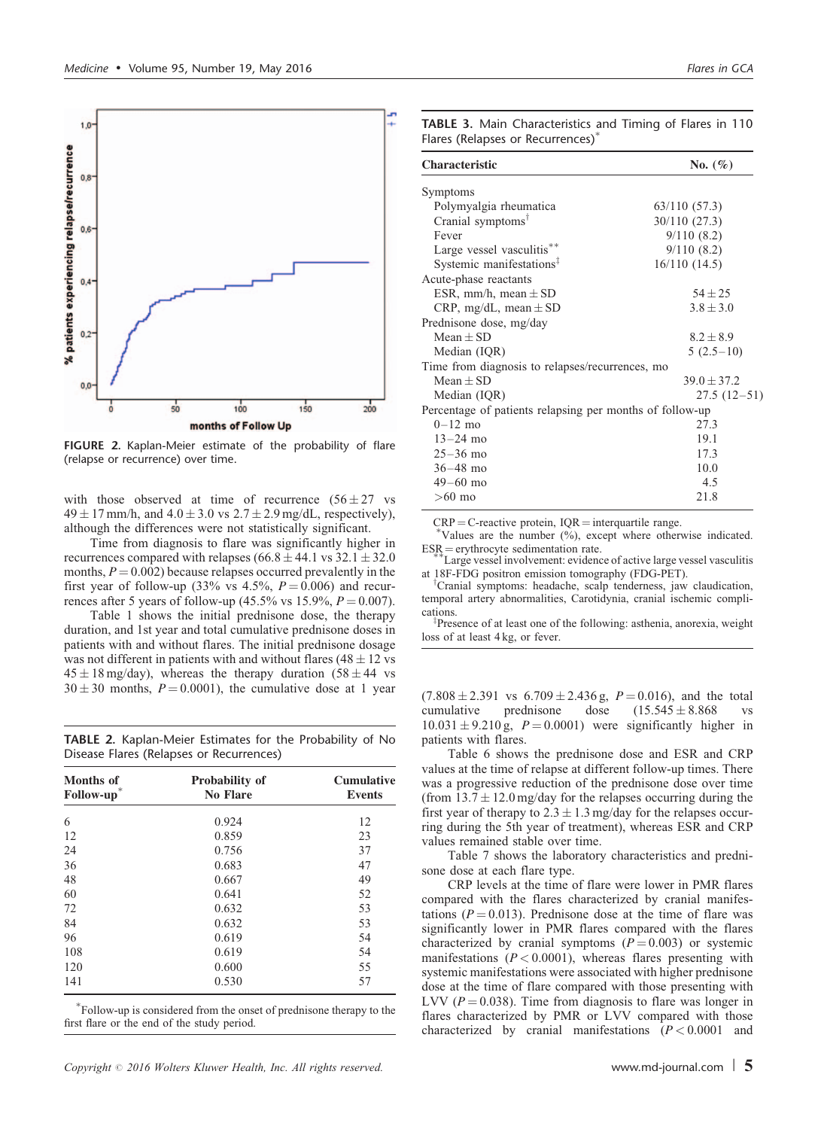<span id="page-4-0"></span>

FIGURE 2. Kaplan-Meier estimate of the probability of flare (relapse or recurrence) over time.

with those observed at time of recurrence  $(56 \pm 27 \text{ vs }$  $49 \pm 17$  mm/h, and  $4.0 \pm 3.0$  vs  $2.7 \pm 2.9$  mg/dL, respectively), although the differences were not statistically significant.

Time from diagnosis to flare was significantly higher in recurrences compared with relapses ( $66.8 \pm 44.1$  vs  $32.1 \pm 32.0$ months,  $P = 0.002$ ) because relapses occurred prevalently in the first year of follow-up (33% vs 4.5%,  $P = 0.006$ ) and recurrences after 5 years of follow-up (45.5% vs 15.9%,  $P = 0.007$ ).

[Table 1](#page-3-0) shows the initial prednisone dose, the therapy duration, and 1st year and total cumulative prednisone doses in patients with and without flares. The initial prednisone dosage was not different in patients with and without flares  $(48 \pm 12 \text{ vs } 100 \text{ m})$  $45 \pm 18$  mg/day), whereas the therapy duration  $(58 \pm 44$  vs  $30 \pm 30$  months,  $P = 0.0001$ ), the cumulative dose at 1 year (7.808  $\pm$  2.391 vs 6.709  $\pm$  2.436 g,  $P = 0.016$ ), and the total

TABLE 2. Kaplan-Meier Estimates for the Probability of No Disease Flares (Relapses or Recurrences)

| Months of<br>Follow-up | <b>Probability of</b><br><b>No Flare</b> | <b>Cumulative</b><br><b>Events</b> |
|------------------------|------------------------------------------|------------------------------------|
| 6                      | 0.924                                    | 12                                 |
| 12                     | 0.859                                    | 23                                 |
| 24                     | 0.756                                    | 37                                 |
| 36                     | 0.683                                    | 47                                 |
| 48                     | 0.667                                    | 49                                 |
| 60                     | 0.641                                    | 52                                 |
| 72                     | 0.632                                    | 53                                 |
| 84                     | 0.632                                    | 53                                 |
| 96                     | 0.619                                    | 54                                 |
| 108                    | 0.619                                    | 54                                 |
| 120                    | 0.600                                    | 55                                 |
| 141                    | 0.530                                    | 57                                 |

 Follow-up is considered from the onset of prednisone therapy to the first flare or the end of the study period.

| Flares (Relapses or Recurrences)*                        |                 |
|----------------------------------------------------------|-----------------|
| <b>Characteristic</b>                                    | No. $(\%)$      |
| Symptoms                                                 |                 |
| Polymyalgia rheumatica                                   | 63/110 (57.3)   |
| Cranial symptoms <sup>†</sup>                            | 30/110 (27.3)   |
| Fever                                                    | 9/110(8.2)      |
| Large vessel vasculitis**                                | 9/110(8.2)      |
| Systemic manifestations <sup>1</sup>                     | 16/110 (14.5)   |
| Acute-phase reactants                                    |                 |
| ESR, mm/h, mean $\pm$ SD                                 | $54 + 25$       |
| CRP, mg/dL, mean $\pm$ SD                                | $3.8 \pm 3.0$   |
| Prednisone dose, mg/day                                  |                 |
| $Mean + SD$                                              | $8.2 \pm 8.9$   |
| Median (IQR)                                             | $5(2.5-10)$     |
| Time from diagnosis to relapses/recurrences, mo          |                 |
| $Mean + SD$                                              | $39.0 \pm 37.2$ |
| Median (IQR)                                             | $27.5(12-51)$   |
| Percentage of patients relapsing per months of follow-up |                 |
| $0 - 12$ mo                                              | 27.3            |
| $13 - 24$ mo                                             | 19.1            |
| $25 - 36$ mo                                             | 17.3            |
| $36 - 48$ mo                                             | 10.0            |
| $49 - 60$ mo                                             | 4.5             |
| $>60$ mo                                                 | 21.8            |

TABLE 3. Main Characteristics and Timing of Flares in 110

 $CRP = C$ -reactive protein,  $IQR =$  interquartile range.

Values are the number (%), except where otherwise indicated.  $ESR =$  erythrocyte sedimentation rate.<br>  $*$  Large vessel involvement: evidence of active large vessel vasculitis

at 18F-FDG positron emission tomography (FDG-PET).

Cranial symptoms: headache, scalp tenderness, jaw claudication, temporal artery abnormalities, Carotidynia, cranial ischemic complications.

<sup>‡</sup>Presence of at least one of the following: asthenia, anorexia, weight loss of at least 4 kg, or fever.

cumulative prednisone dose  $(15.545 \pm 8.868$  vs  $10.031 \pm 9.210$  g,  $P = 0.0001$ ) were significantly higher in patients with flares.

[Table 6](#page-6-0) shows the prednisone dose and ESR and CRP values at the time of relapse at different follow-up times. There was a progressive reduction of the prednisone dose over time (from  $13.7 \pm 12.0$  mg/day for the relapses occurring during the first year of therapy to  $2.3 \pm 1.3$  mg/day for the relapses occurring during the 5th year of treatment), whereas ESR and CRP values remained stable over time.

[Table 7](#page-6-0) shows the laboratory characteristics and prednisone dose at each flare type.

CRP levels at the time of flare were lower in PMR flares compared with the flares characterized by cranial manifestations ( $P = 0.013$ ). Prednisone dose at the time of flare was significantly lower in PMR flares compared with the flares characterized by cranial symptoms  $(P = 0.003)$  or systemic manifestations ( $P < 0.0001$ ), whereas flares presenting with systemic manifestations were associated with higher prednisone dose at the time of flare compared with those presenting with LVV ( $P = 0.038$ ). Time from diagnosis to flare was longer in flares characterized by PMR or LVV compared with those characterized by cranial manifestations  $(P < 0.0001$  and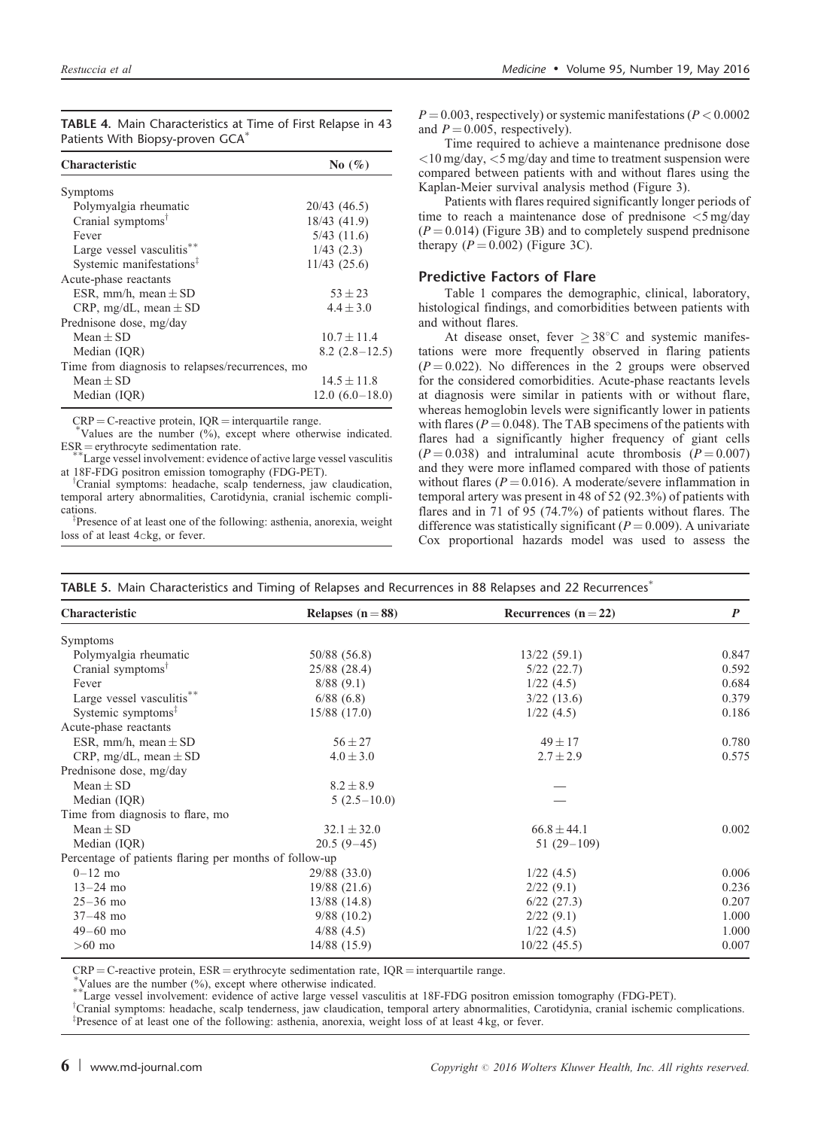| 20/43 (46.5)                                    |
|-------------------------------------------------|
| 18/43 (41.9)                                    |
| $5/43$ $(11.6)$                                 |
| 1/43(2.3)                                       |
| 11/43(25.6)                                     |
|                                                 |
| $53 + 23$                                       |
| $4.4 + 3.0$                                     |
|                                                 |
| $10.7 + 11.4$                                   |
| $8.2(2.8-12.5)$                                 |
| Time from diagnosis to relapses/recurrences, mo |
| $14.5 + 11.8$                                   |
| $12.0(6.0-18.0)$                                |
|                                                 |

<span id="page-5-0"></span>TABLE 4. Main Characteristics at Time of First Relapse in 43 Patients With Biopsy-proven GCA

 $CRP = C$ -reactive protein,  $IQR =$  interquartile range.

 $\sqrt{\text{Values}}$  are the number (%), except where otherwise indicated.<br>ESR = erythrocyte sedimentation rate.

Large vessel involvement: evidence of active large vessel vasculitis at 18F-FDG positron emission tomography (FDG-PET).

Cranial symptoms: headache, scalp tenderness, jaw claudication, temporal artery abnormalities, Carotidynia, cranial ischemic complications.

<sup>‡</sup>Presence of at least one of the following: asthenia, anorexia, weight loss of at least 4ckg, or fever.

 $P = 0.003$ , respectively) or systemic manifestations ( $P < 0.0002$ ) and  $P = 0.005$ , respectively).

Time required to achieve a maintenance prednisone dose  $\langle$  10 mg/day,  $\langle$  5 mg/day and time to treatment suspension were compared between patients with and without flares using the Kaplan-Meier survival analysis method [\(Figure 3](#page-7-0)).

Patients with flares required significantly longer periods of time to reach a maintenance dose of prednisone  $\langle 5 \rangle$  mg/day  $(P = 0.014)$  ([Figure 3](#page-7-0)B) and to completely suspend prednisone therapy  $(P = 0.002)$  [\(Figure 3](#page-7-0)C).

## Predictive Factors of Flare

[Table 1](#page-3-0) compares the demographic, clinical, laboratory, histological findings, and comorbidities between patients with and without flares.

At disease onset, fever  $\geq 38^{\circ}$ C and systemic manifestations were more frequently observed in flaring patients  $(P = 0.022)$ . No differences in the 2 groups were observed for the considered comorbidities. Acute-phase reactants levels at diagnosis were similar in patients with or without flare, whereas hemoglobin levels were significantly lower in patients with flares ( $P = 0.048$ ). The TAB specimens of the patients with flares had a significantly higher frequency of giant cells  $(P = 0.038)$  and intraluminal acute thrombosis  $(P = 0.007)$ and they were more inflamed compared with those of patients without flares ( $P = 0.016$ ). A moderate/severe inflammation in temporal artery was present in 48 of 52 (92.3%) of patients with flares and in 71 of 95 (74.7%) of patients without flares. The difference was statistically significant ( $P = 0.009$ ). A univariate Cox proportional hazards model was used to assess the

|  |  | TABLE 5. Main Characteristics and Timing of Relapses and Recurrences in 88 Relapses and 22 Recurrences* |
|--|--|---------------------------------------------------------------------------------------------------------|
|  |  |                                                                                                         |

| Characteristic                                         | Relapses $(n=88)$ | Recurrences $(n=22)$ | $\boldsymbol{P}$ |
|--------------------------------------------------------|-------------------|----------------------|------------------|
| Symptoms                                               |                   |                      |                  |
| Polymyalgia rheumatic                                  | 50/88 (56.8)      | 13/22(59.1)          | 0.847            |
| Cranial symptoms <sup>1</sup>                          | 25/88 (28.4)      | 5/22(22.7)           | 0.592            |
| Fever                                                  | 8/88(9.1)         | 1/22(4.5)            | 0.684            |
| Large vessel vasculitis**                              | 6/88(6.8)         | 3/22(13.6)           | 0.379            |
| Systemic symptoms <sup>‡</sup>                         | 15/88(17.0)       | 1/22(4.5)            | 0.186            |
| Acute-phase reactants                                  |                   |                      |                  |
| ESR, mm/h, mean $\pm$ SD                               | $56 \pm 27$       | $49 \pm 17$          | 0.780            |
| CRP, mg/dL, mean $\pm$ SD                              | $4.0 \pm 3.0$     | $2.7 \pm 2.9$        | 0.575            |
| Prednisone dose, mg/day                                |                   |                      |                  |
| $Mean \pm SD$                                          | $8.2 \pm 8.9$     |                      |                  |
| Median (IQR)                                           | $5(2.5-10.0)$     |                      |                  |
| Time from diagnosis to flare, mo                       |                   |                      |                  |
| $Mean \pm SD$                                          | $32.1 \pm 32.0$   | $66.8 \pm 44.1$      | 0.002            |
| Median (IQR)                                           | $20.5(9-45)$      | $51(29-109)$         |                  |
| Percentage of patients flaring per months of follow-up |                   |                      |                  |
| $0 - 12$ mo                                            | 29/88 (33.0)      | 1/22(4.5)            | 0.006            |
| $13 - 24$ mo                                           | 19/88 (21.6)      | 2/22(9.1)            | 0.236            |
| $25 - 36$ mo                                           | $13/88$ (14.8)    | $6/22$ $(27.3)$      | 0.207            |
| $37 - 48$ mo                                           | 9/88(10.2)        | 2/22(9.1)            | 1.000            |
| $49 - 60$ mo                                           | 4/88(4.5)         | 1/22(4.5)            | 1.000            |
| $>60$ mo                                               | $14/88$ (15.9)    | $10/22$ (45.5)       | 0.007            |

 $CRP = C$ -reactive protein,  $ESR = \text{erythrocyte sedimentation rate}$ ,  $IQR = \text{interquartile range}$ .<br>\*Values are the number (%), except where otherwise indicated.

<sup>\*</sup>Large vessel involvement: evidence of active large vessel vasculitis at 18F-FDG positron emission tomography (FDG-PET).

Cranial symptoms: headache, scalp tenderness, jaw claudication, temporal artery abnormalities, Carotidynia, cranial ischemic complications. <sup>‡</sup>Presence of at least one of the following: asthenia, anorexia, weight loss of at least 4 kg, or fever.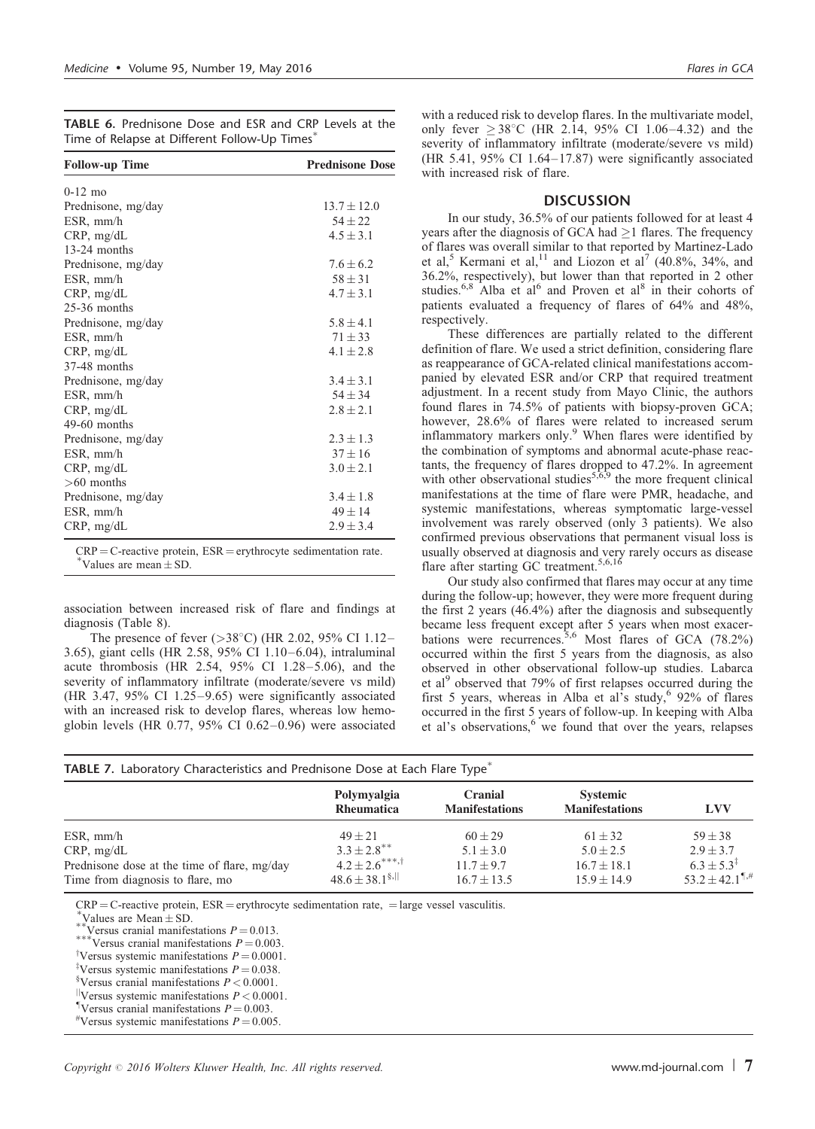<span id="page-6-0"></span>TABLE 6. Prednisone Dose and ESR and CRP Levels at the Time of Relapse at Different Follow-Up Times

| <b>Follow-up Time</b> | <b>Prednisone Dose</b> |  |  |
|-----------------------|------------------------|--|--|
| $0-12$ mo             |                        |  |  |
| Prednisone, mg/day    | $13.7 + 12.0$          |  |  |
| ESR, mm/h             | $54 \pm 22$            |  |  |
| $CRP$ , mg/dL         | $4.5 + 3.1$            |  |  |
| 13-24 months          |                        |  |  |
| Prednisone, mg/day    | $7.6 + 6.2$            |  |  |
| ESR, mm/h             | $58 + 31$              |  |  |
| $CRP$ , mg/dL         | $4.7 \pm 3.1$          |  |  |
| $25-36$ months        |                        |  |  |
| Prednisone, mg/day    | $5.8 + 4.1$            |  |  |
| ESR, mm/h             | $71 \pm 33$            |  |  |
| $CRP$ , mg/dL         | $4.1 + 2.8$            |  |  |
| 37-48 months          |                        |  |  |
| Prednisone, mg/day    | $3.4 \pm 3.1$          |  |  |
| ESR, mm/h             | $54 \pm 34$            |  |  |
| $CRP$ , mg/dL         | $2.8 \pm 2.1$          |  |  |
| $49-60$ months        |                        |  |  |
| Prednisone, mg/day    | $2.3 \pm 1.3$          |  |  |
| ESR, mm/h             | $37 \pm 16$            |  |  |
| CRP, mg/dL            | $3.0 \pm 2.1$          |  |  |
| $>60$ months          |                        |  |  |
| Prednisone, mg/day    | $3.4 \pm 1.8$          |  |  |
| ESR, mm/h             | $49 \pm 14$            |  |  |
| $CRP$ , mg/dL         | $2.9 \pm 3.4$          |  |  |

 $CRP = C$ -reactive protein,  $ESR =$ erythrocyte sedimentation rate. Values are mean  $\pm$  SD.

association between increased risk of flare and findings at diagnosis ([Table 8\)](#page-8-0).

The presence of fever ( $>38^{\circ}$ C) (HR 2.02, 95% CI 1.12– 3.65), giant cells (HR 2.58, 95% CI 1.10–6.04), intraluminal acute thrombosis (HR 2.54, 95% CI 1.28–5.06), and the severity of inflammatory infiltrate (moderate/severe vs mild) (HR 3.47, 95% CI 1.25–9.65) were significantly associated with an increased risk to develop flares, whereas low hemoglobin levels (HR 0.77, 95% CI 0.62–0.96) were associated with a reduced risk to develop flares. In the multivariate model, only fever  $\geq 38^{\circ}$ C (HR 2.14, 95% CI 1.06–4.32) and the severity of inflammatory infiltrate (moderate/severe vs mild) (HR 5.41, 95% CI 1.64–17.87) were significantly associated with increased risk of flare.

### **DISCUSSION**

In our study, 36.5% of our patients followed for at least 4 years after the diagnosis of GCA had  $\geq$ 1 flares. The frequency of flares was overall similar to that reported by Martinez-Lado et al,<sup>[5](#page-8-0)</sup> Kermani et al,<sup>[11](#page-9-0)</sup> and Liozon et al<sup>[7](#page-8-0)</sup> (40.8%, 34%, and 36.2%, respectively), but lower than that reported in 2 other studies.<sup>[6](#page-8-0),[8](#page-8-0)</sup> Alba et al<sup>6</sup> and Proven et al<sup>8</sup> in their cohorts of patients evaluated a frequency of flares of 64% and 48%, respectively.

These differences are partially related to the different definition of flare. We used a strict definition, considering flare as reappearance of GCA-related clinical manifestations accompanied by elevated ESR and/or CRP that required treatment adjustment. In a recent study from Mayo Clinic, the authors found flares in 74.5% of patients with biopsy-proven GCA; however, 28.6% of flares were related to increased serum inflammatory markers only.<sup>9</sup> When flares were identified by the combination of symptoms and abnormal acute-phase reactants, the frequency of flares dropped to  $47.2\%$ . In agreement with other observational studies<sup>[5,6,9](#page-8-0)</sup> the more frequent clinical manifestations at the time of flare were PMR, headache, and systemic manifestations, whereas symptomatic large-vessel involvement was rarely observed (only 3 patients). We also confirmed previous observations that permanent visual loss is usually observed at diagnosis and very rarely occurs as disease flare after starting GC treatment.<sup>[5,6,16](#page-8-0)</sup>

Our study also confirmed that flares may occur at any time during the follow-up; however, they were more frequent during the first 2 years (46.4%) after the diagnosis and subsequently became less frequent except after 5 years when most exacer-<br>bations were recurrences.<sup>[5,6](#page-8-0)</sup> Most flares of GCA (78.2%) occurred within the first 5 years from the diagnosis, as also observed in other observational follow-up studies. Labarca et al<sup>9</sup> observed that 79% of first relapses occurred during the first 5 years, whereas in Alba et al's study,  $6\frac{92}{%}$  $6\frac{92}{%}$  of flares occurred in the first 5 years of follow-up. In keeping with Alba et al's observations, $6 \text{ we found that over the years, relapses}$  $6 \text{ we found that over the years, relapses}$ 

| <b>TABLE 7.</b> Laboratory Characteristics and Prednisone Dose at Each Flare Type <sup>*</sup> |                                                                  |                                         |                                          |                                                          |
|------------------------------------------------------------------------------------------------|------------------------------------------------------------------|-----------------------------------------|------------------------------------------|----------------------------------------------------------|
|                                                                                                | Polymyalgia<br><b>Rheumatica</b>                                 | <b>Cranial</b><br><b>Manifestations</b> | <b>Systemic</b><br><b>Manifestations</b> | LVV                                                      |
| ESR, mm/h                                                                                      | $49 + 21$                                                        | $60 + 29$                               | $61 + 32$                                | $59 + 38$                                                |
| CRP, mg/dL                                                                                     | $3.3 + 2.8$ <sup>**</sup>                                        | $5.1 + 3.0$                             | $5.0 + 2.5$                              | $2.9 + 3.7$                                              |
| Prednisone dose at the time of flare, mg/day<br>Time from diagnosis to flare, mo               | $4.2 \pm 2.6$ <sup>****,†</sup><br>$48.6 \pm 38.1^{\frac{5}{1}}$ | $11.7 + 9.7$<br>$16.7 \pm 13.5$         | $16.7 \pm 18.1$<br>$15.9 + 14.9$         | $6.3 \pm 5.3^{\ddagger}$<br>$53.2 \pm 42.1$ <sup>1</sup> |

 $CRP = C$ -reactive protein,  $ESR = \text{erythrocyte sedimentation rate}$ ,  $= \text{large vessel vasculitis}$ .<br>\*Values are Mean  $\pm$  SD.

Versus cranial manifestations  $P = 0.013$ .<br>\*\*\*Versus cranial manifestations  $P = 0.003$ .

Versus systemic manifestations  $P = 0.0001$ .

<sup>‡</sup>Versus systemic manifestations  $P = 0.038$ .

 $\frac{8}{3}$ Versus cranial manifestations  $P < 0.0001$ .

 $\forall$ Yersus systemic manifestations  $P < 0.0001$ .

Versus cranial manifestations  $P = 0.003$ .<br>
\*Versus systemic manifestations  $P = 0.00$ .

 $N$ Versus systemic manifestations  $P = 0.005$ .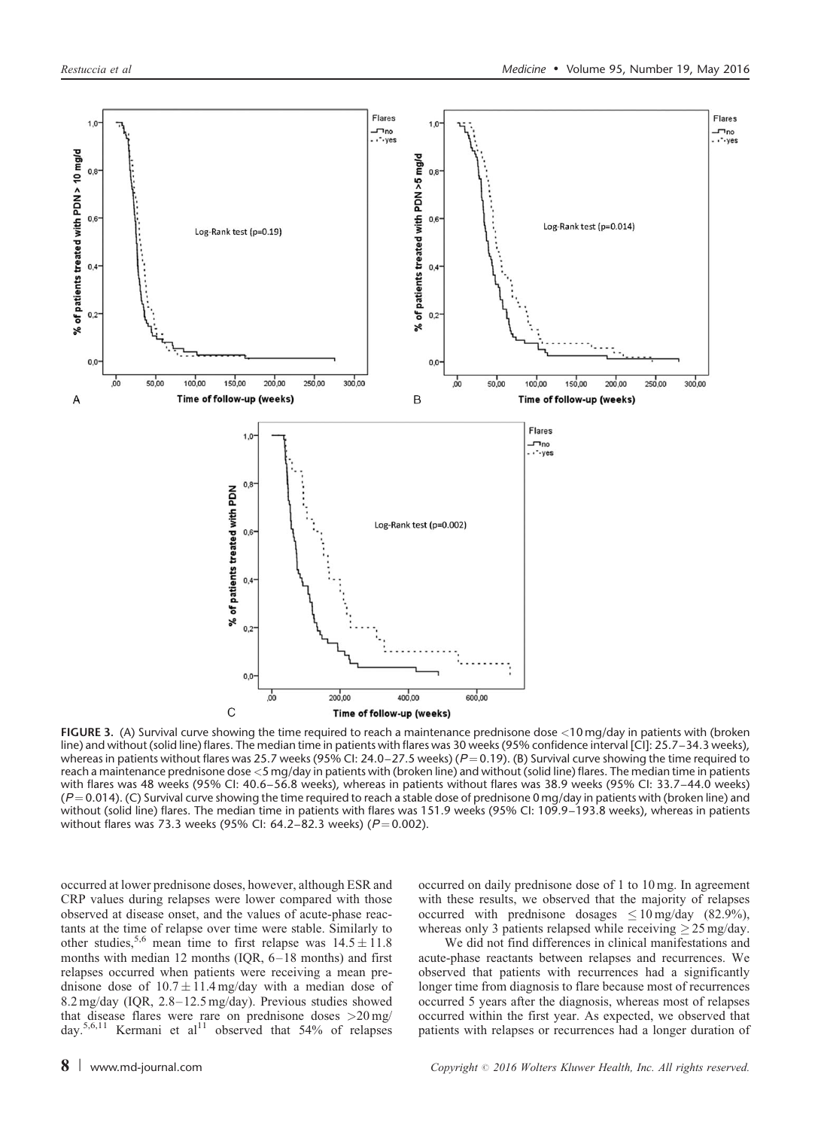<span id="page-7-0"></span>

FIGURE 3. (A) Survival curve showing the time required to reach a maintenance prednisone dose <10 mg/day in patients with (broken line) and without (solid line) flares. The median time in patients with flares was 30 weeks (95% confidence interval [CI]: 25.7–34.3 weeks), whereas in patients without flares was 25.7 weeks (95% CI: 24.0–27.5 weeks) ( $P = 0.19$ ). (B) Survival curve showing the time required to reach a maintenance prednisone dose <5 mg/day in patients with (broken line) and without (solid line) flares. The median time in patients with flares was 48 weeks (95% CI: 40.6–56.8 weeks), whereas in patients without flares was 38.9 weeks (95% CI: 33.7–44.0 weeks)  $(P=0.014)$ . (C) Survival curve showing the time required to reach a stable dose of prednisone 0 mg/day in patients with (broken line) and without (solid line) flares. The median time in patients with flares was 151.9 weeks (95% CI: 109.9–193.8 weeks), whereas in patients without flares was 73.3 weeks (95% CI: 64.2–82.3 weeks) ( $P = 0.002$ ).

occurred at lower prednisone doses, however, although ESR and CRP values during relapses were lower compared with those observed at disease onset, and the values of acute-phase reactants at the time of relapse over time were stable. Similarly to other studies,<sup>[5,6](#page-8-0)</sup> mean time to first relapse was  $14.5 \pm 11.8$ months with median 12 months (IQR, 6–18 months) and first relapses occurred when patients were receiving a mean prednisone dose of  $10.7 \pm 11.4$  mg/day with a median dose of 8.2 mg/day (IQR, 2.8–12.5 mg/day). Previous studies showed that disease flares were rare on prednisone doses  $>20 \text{ mg/d}$ <br>day.<sup>[5,6,11](#page-8-0)</sup> Kermani et al<sup>11</sup> observed that 54% of relapses

occurred on daily prednisone dose of 1 to 10 mg. In agreement with these results, we observed that the majority of relapses occurred with prednisone dosages  $\leq 10$  mg/day (82.9%), whereas only 3 patients relapsed while receiving  $\geq$  25 mg/day.

We did not find differences in clinical manifestations and acute-phase reactants between relapses and recurrences. We observed that patients with recurrences had a significantly longer time from diagnosis to flare because most of recurrences occurred 5 years after the diagnosis, whereas most of relapses occurred within the first year. As expected, we observed that patients with relapses or recurrences had a longer duration of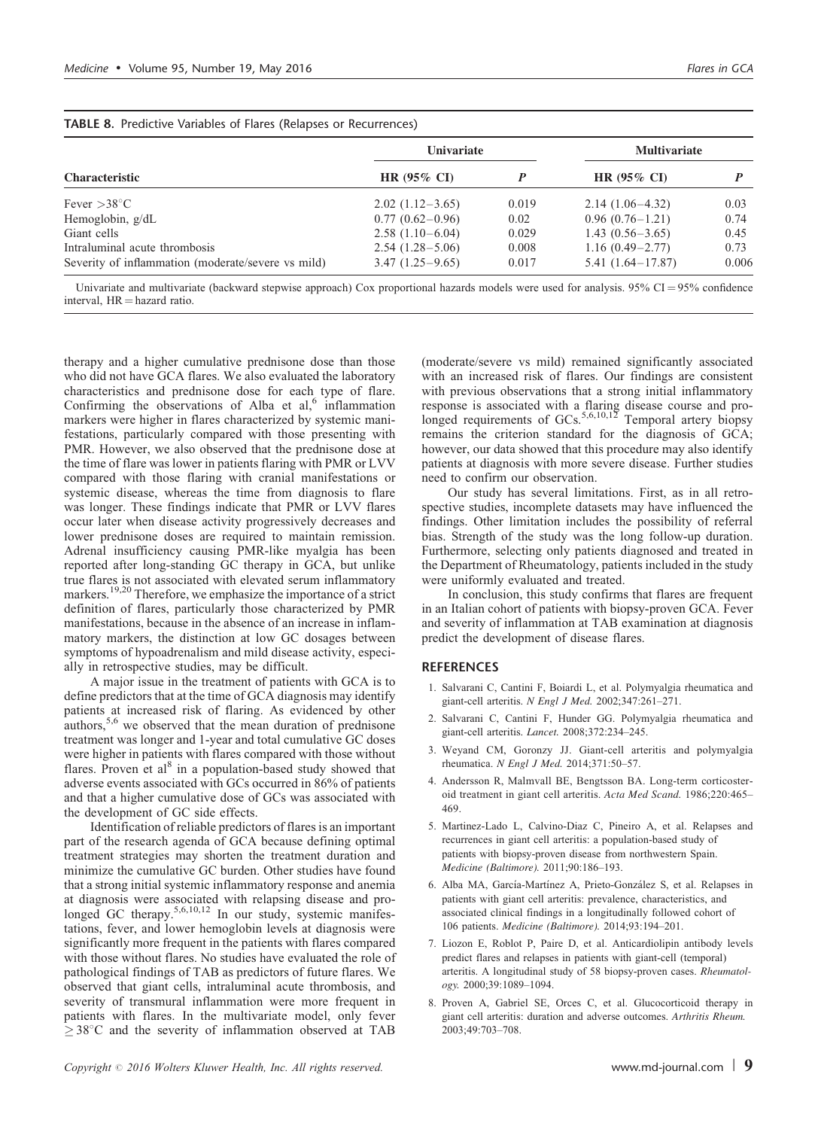<span id="page-8-0"></span>

| <b>TABLE 8.</b> Predictive Variables of Flares (Relapses or Recurrences) |  |  |  |  |  |
|--------------------------------------------------------------------------|--|--|--|--|--|
|--------------------------------------------------------------------------|--|--|--|--|--|

|                                                    | <b>Univariate</b>      |       | <b>Multivariate</b>    |       |
|----------------------------------------------------|------------------------|-------|------------------------|-------|
| <b>Characteristic</b>                              | HR $(95\% \text{ CI})$ | P     | HR $(95\% \text{ CI})$ |       |
| Fever $>38^{\circ}$ C                              | $2.02(1.12-3.65)$      | 0.019 | $2.14(1.06-4.32)$      | 0.03  |
| Hemoglobin, g/dL                                   | $0.77(0.62-0.96)$      | 0.02  | $0.96(0.76-1.21)$      | 0.74  |
| Giant cells                                        | $2.58(1.10-6.04)$      | 0.029 | $1.43(0.56-3.65)$      | 0.45  |
| Intraluminal acute thrombosis                      | $2.54(1.28-5.06)$      | 0.008 | $1.16(0.49-2.77)$      | 0.73  |
| Severity of inflammation (moderate/severe vs mild) | $3.47(1.25-9.65)$      | 0.017 | $5.41(1.64 - 17.87)$   | 0.006 |

Univariate and multivariate (backward stepwise approach) Cox proportional hazards models were used for analysis.  $95\%$  CI =  $95\%$  confidence interval,  $HR =$  hazard ratio.

therapy and a higher cumulative prednisone dose than those who did not have GCA flares. We also evaluated the laboratory characteristics and prednisone dose for each type of flare. Confirming the observations of Alba et al, $6$  inflammation markers were higher in flares characterized by systemic manifestations, particularly compared with those presenting with PMR. However, we also observed that the prednisone dose at the time of flare was lower in patients flaring with PMR or LVV compared with those flaring with cranial manifestations or systemic disease, whereas the time from diagnosis to flare was longer. These findings indicate that PMR or LVV flares occur later when disease activity progressively decreases and lower prednisone doses are required to maintain remission. Adrenal insufficiency causing PMR-like myalgia has been reported after long-standing GC therapy in GCA, but unlike true flares is not associated with elevated serum inflammatory markers.<sup>[19,20](#page-9-0)</sup> Therefore, we emphasize the importance of a strict definition of flares, particularly those characterized by PMR manifestations, because in the absence of an increase in inflammatory markers, the distinction at low GC dosages between symptoms of hypoadrenalism and mild disease activity, especially in retrospective studies, may be difficult.

A major issue in the treatment of patients with GCA is to define predictors that at the time of GCA diagnosis may identify patients at increased risk of flaring. As evidenced by other authors,<sup>5,6</sup> we observed that the mean duration of prednisone treatment was longer and 1-year and total cumulative GC doses were higher in patients with flares compared with those without flares. Proven et  $al^8$  in a population-based study showed that adverse events associated with GCs occurred in 86% of patients and that a higher cumulative dose of GCs was associated with the development of GC side effects.

Identification of reliable predictors of flares is an important part of the research agenda of GCA because defining optimal treatment strategies may shorten the treatment duration and minimize the cumulative GC burden. Other studies have found that a strong initial systemic inflammatory response and anemia at diagnosis were associated with relapsing disease and prolonged GC therapy.<sup>5,6,10,12</sup> In our study, systemic manifestations, fever, and lower hemoglobin levels at diagnosis were significantly more frequent in the patients with flares compared with those without flares. No studies have evaluated the role of pathological findings of TAB as predictors of future flares. We observed that giant cells, intraluminal acute thrombosis, and severity of transmural inflammation were more frequent in patients with flares. In the multivariate model, only fever  $\geq$  38°C and the severity of inflammation observed at TAB

(moderate/severe vs mild) remained significantly associated with an increased risk of flares. Our findings are consistent with previous observations that a strong initial inflammatory response is associated with a flaring disease course and prolonged requirements of GCs.<sup>5,6,10,12</sup> Temporal artery biopsy remains the criterion standard for the diagnosis of GCA; however, our data showed that this procedure may also identify patients at diagnosis with more severe disease. Further studies need to confirm our observation.

Our study has several limitations. First, as in all retrospective studies, incomplete datasets may have influenced the findings. Other limitation includes the possibility of referral bias. Strength of the study was the long follow-up duration. Furthermore, selecting only patients diagnosed and treated in the Department of Rheumatology, patients included in the study were uniformly evaluated and treated.

In conclusion, this study confirms that flares are frequent in an Italian cohort of patients with biopsy-proven GCA. Fever and severity of inflammation at TAB examination at diagnosis predict the development of disease flares.

# **REFERENCES**

- 1. Salvarani C, Cantini F, Boiardi L, et al. Polymyalgia rheumatica and giant-cell arteritis. N Engl J Med.  $2002;347:261-271$ .
- 2. Salvarani C, Cantini F, Hunder GG. Polymyalgia rheumatica and giant-cell arteritis. Lancet. 2008;372:234–245.
- 3. Weyand CM, Goronzy JJ. Giant-cell arteritis and polymyalgia rheumatica. N Engl J Med. 2014;371:50–57.
- 4. Andersson R, Malmvall BE, Bengtsson BA. Long-term corticosteroid treatment in giant cell arteritis. Acta Med Scand. 1986;220:465– 469.
- 5. Martinez-Lado L, Calvino-Diaz C, Pineiro A, et al. Relapses and recurrences in giant cell arteritis: a population-based study of patients with biopsy-proven disease from northwestern Spain. Medicine (Baltimore). 2011;90:186–193.
- 6. Alba MA, García-Martínez A, Prieto-González S, et al. Relapses in patients with giant cell arteritis: prevalence, characteristics, and associated clinical findings in a longitudinally followed cohort of 106 patients. Medicine (Baltimore). 2014;93:194–201.
- 7. Liozon E, Roblot P, Paire D, et al. Anticardiolipin antibody levels predict flares and relapses in patients with giant-cell (temporal) arteritis. A longitudinal study of 58 biopsy-proven cases. Rheumatology. 2000;39:1089–1094.
- 8. Proven A, Gabriel SE, Orces C, et al. Glucocorticoid therapy in giant cell arteritis: duration and adverse outcomes. Arthritis Rheum. 2003;49:703–708.